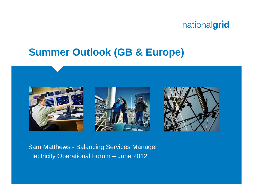## **Summer Outlook (GB & Europe)**



Sam Matthews - Balancing Services Manager Electricity Operational Forum – June 2012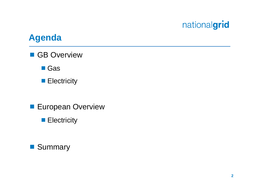#### **Agenda**

**GB** Overview

■ Gas

- **Electricity**
- **European Overview** 
	- **Electricity**

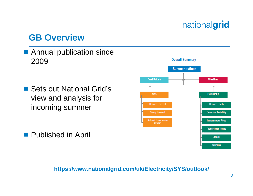#### **GB Overview**

■ Annual publication since 2009

■ Sets out National Grid's view and analysis for incoming summer

**Published in April** 



#### **https://www.nationalgrid.com/uk/Electricity/SYS/outlook/**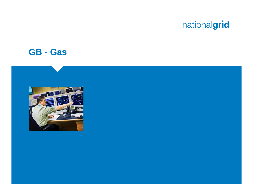#### **GB - Gas**

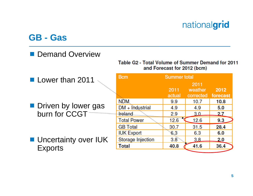#### **GB - Gas**

#### **Demand Overview**

#### Table G2 - Total Volume of Summer Demand for 2011 and Forecast for 2012 (bcm)

| Lower than 2011                               | <b>B</b> cm        | <b>Summer total</b> |                    |      |
|-----------------------------------------------|--------------------|---------------------|--------------------|------|
|                                               |                    |                     | 2011               |      |
|                                               |                    | 2011                | weather            | 2012 |
| <b>Driven by lower gas</b><br>burn for CCGT   |                    | actual              | corrected forecast |      |
|                                               | <b>NDM</b>         | 9.9                 | 10.7               | 10.8 |
|                                               | $DM + Industrial$  | 4.9                 | 4.9                | 5.0  |
|                                               | <b>Ireland</b>     | 2.9                 | 3.0                | 2.7  |
|                                               | <b>Total Power</b> | 12.6                | 12.6               | 9.3  |
|                                               | <b>GB</b> Total    | 30.7                | 31.5               | 28.4 |
| <b>Uncertainty over IUK</b><br><b>Exports</b> | <b>IUK Export</b>  | 6.3                 | 6.3                | 6.0  |
|                                               | Storage Injection  | 3.8                 | 3.8                | 2.0  |
|                                               | Total              | 40.8                | 41.6               | 36.4 |
|                                               |                    |                     |                    |      |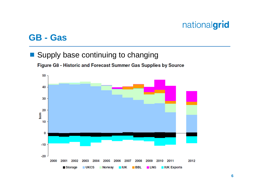#### **GB - Gas**

#### ■ Supply base continuing to changing

Figure G8 - Historic and Forecast Summer Gas Supplies by Source

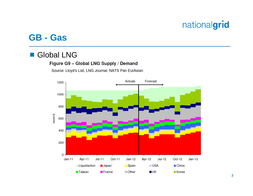#### **GB - Gas**

#### $\mathbb{R}^n$ Global LNG

#### Figure G9 - Global LNG Supply / Demand

Source: Lloyd's List, LNG Journal, NATS Pan EurAsian

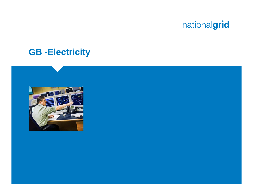

#### **GB -Electricity**

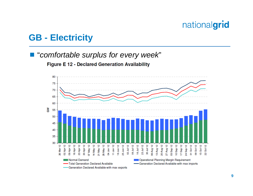#### **GB - Electricity**

#### "*comfortable surplus for every week*"

Figure E 12 - Declared Generation Availability

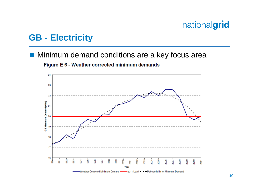#### **GB - Electricity**

#### **Minimum demand conditions are a key focus area**

Figure E 6 - Weather corrected minimum demands

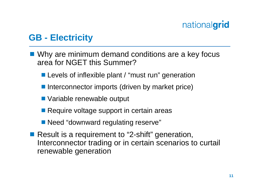#### **GB - Electricity**

- Why are minimum demand conditions are a key focus area for NGET this Summer?
	- **Levels of inflexible plant / "must run" generation**
	- Interconnector imports (driven by market price)
	- Variable renewable output
	- Require voltage support in certain areas
	- Need "downward regulating reserve"
- Result is a requirement to "2-shift" generation, Interconnector trading or in certain scenarios to curtail renewable generation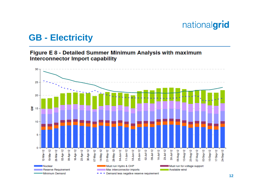#### **GB - Electricity**

#### Figure E 8 - Detailed Summer Minimum Analysis with maximum Interconnector Import capability

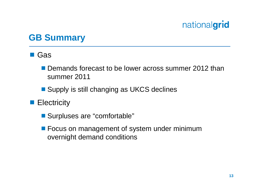#### **GB Summary**

#### ■ Gas

- **Demands forecast to be lower across summer 2012 than** summer 2011
- Supply is still changing as UKCS declines
- **Electricity** 
	- Surpluses are "comfortable"
	- **Focus on management of system under minimum** overnight demand conditions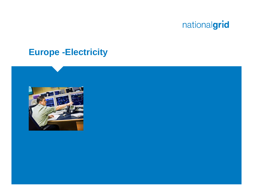#### **Europe -Electricity**

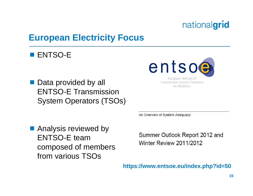#### **European Electricity Focus**

#### **ENTSO-E**

■ Data provided by all ENTSO-E Transmission System Operators (TSOs)



European Network of **Transmission System Operators** for Electricity

An Overview of System Adequacy:

**Analysis reviewed by** ENTSO-E team composed of members from various TSOs

Summer Outlook Report 2012 and Winter Review 2011/2012

**https://www.entsoe.eu/index.php?id=50**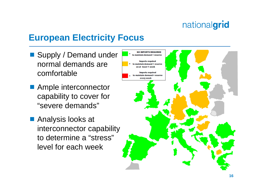#### **European Electricity Focus**

- Supply / Demand under normal demands are comfortable
- Ample interconnector capability to cover for "severe demands"
- Analysis looks at interconnector capability to determine a "stress" level for each week

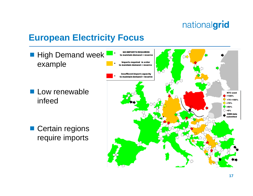#### **European Electricity Focus**

**High Demand week** example

**Low renewable** infeed

■ Certain regions require imports

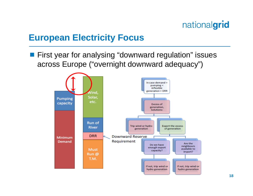#### **European Electricity Focus**

**First year for analysing "downward regulation" issues** across Europe ("overnight downward adequacy")

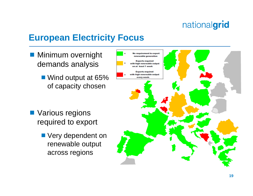#### **European Electricity Focus**

- **Minimum overnight** demands analysis
	- Wind output at 65% of capacity chosen

- **Narious regions** required to export
	- **Very dependent on** renewable output across regions

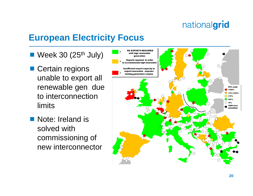#### **European Electricity Focus**

- $\blacksquare$  Week 30 (25<sup>th</sup> July)
- Certain regions unable to export all renewable gen due to interconnection limits
- Note: Ireland is solved with commissioning of new interconnector

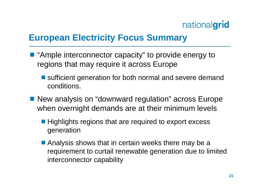#### **European Electricity Focus Summary**

- "Ample interconnector capacity" to provide energy to regions that may require it across Europe
	- sufficient generation for both normal and severe demand conditions.
- New analysis on "downward regulation" across Europe when overnight demands are at their minimum levels
	- **Highlights regions that are required to export excess** generation
	- **Analysis shows that in certain weeks there may be a** requirement to curtail renewable generation due to limited interconnector capability